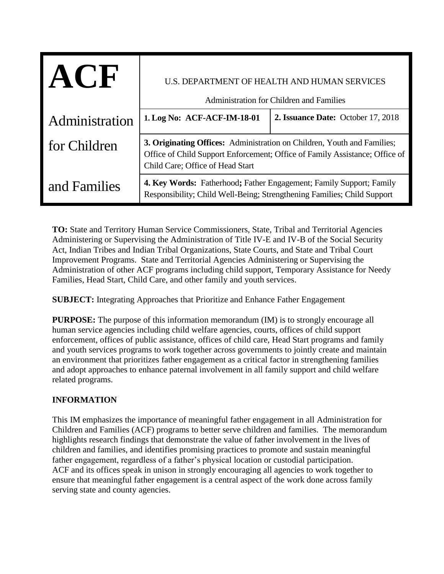| $A$ ( $F$      | U.S. DEPARTMENT OF HEALTH AND HUMAN SERVICES<br>Administration for Children and Families                                                                                                   |                                    |
|----------------|--------------------------------------------------------------------------------------------------------------------------------------------------------------------------------------------|------------------------------------|
| Administration | 1. Log No: ACF-ACF-IM-18-01                                                                                                                                                                | 2. Issuance Date: October 17, 2018 |
| for Children   | 3. Originating Offices: Administration on Children, Youth and Families;<br>Office of Child Support Enforcement; Office of Family Assistance; Office of<br>Child Care; Office of Head Start |                                    |
| and Families   | <b>4. Key Words:</b> Fatherhood; Father Engagement; Family Support; Family<br>Responsibility; Child Well-Being; Strengthening Families; Child Support                                      |                                    |

**TO:** State and Territory Human Service Commissioners, State, Tribal and Territorial Agencies Administering or Supervising the Administration of Title IV-E and IV-B of the Social Security Act, Indian Tribes and Indian Tribal Organizations, State Courts, and State and Tribal Court Improvement Programs. State and Territorial Agencies Administering or Supervising the Administration of other ACF programs including child support, Temporary Assistance for Needy Families, Head Start, Child Care, and other family and youth services.

**SUBJECT:** Integrating Approaches that Prioritize and Enhance Father Engagement

**PURPOSE:** The purpose of this information memorandum (IM) is to strongly encourage all human service agencies including child welfare agencies, courts, offices of child support enforcement, offices of public assistance, offices of child care, Head Start programs and family and youth services programs to work together across governments to jointly create and maintain an environment that prioritizes father engagement as a critical factor in strengthening families and adopt approaches to enhance paternal involvement in all family support and child welfare related programs.

# **INFORMATION**

This IM emphasizes the importance of meaningful father engagement in all Administration for Children and Families (ACF) programs to better serve children and families. The memorandum highlights research findings that demonstrate the value of father involvement in the lives of children and families, and identifies promising practices to promote and sustain meaningful father engagement, regardless of a father's physical location or custodial participation. ACF and its offices speak in unison in strongly encouraging all agencies to work together to ensure that meaningful father engagement is a central aspect of the work done across family serving state and county agencies.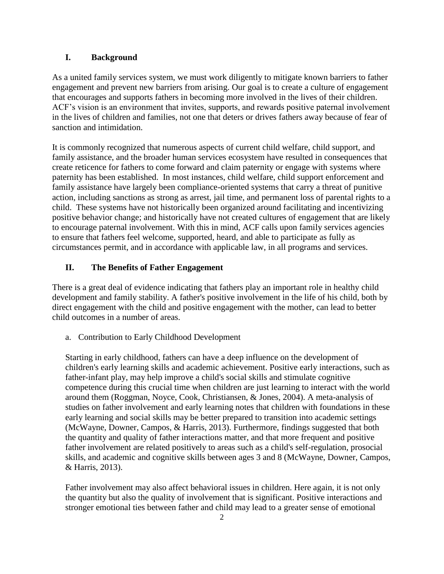### **I. Background**

As a united family services system, we must work diligently to mitigate known barriers to father engagement and prevent new barriers from arising. Our goal is to create a culture of engagement that encourages and supports fathers in becoming more involved in the lives of their children. ACF's vision is an environment that invites, supports, and rewards positive paternal involvement in the lives of children and families, not one that deters or drives fathers away because of fear of sanction and intimidation.

It is commonly recognized that numerous aspects of current child welfare, child support, and family assistance, and the broader human services ecosystem have resulted in consequences that create reticence for fathers to come forward and claim paternity or engage with systems where paternity has been established. In most instances, child welfare, child support enforcement and family assistance have largely been compliance-oriented systems that carry a threat of punitive action, including sanctions as strong as arrest, jail time, and permanent loss of parental rights to a child. These systems have not historically been organized around facilitating and incentivizing positive behavior change; and historically have not created cultures of engagement that are likely to encourage paternal involvement. With this in mind, ACF calls upon family services agencies to ensure that fathers feel welcome, supported, heard, and able to participate as fully as circumstances permit, and in accordance with applicable law, in all programs and services.

## **II. The Benefits of Father Engagement**

There is a great deal of evidence indicating that fathers play an important role in healthy child development and family stability. A father's positive involvement in the life of his child, both by direct engagement with the child and positive engagement with the mother, can lead to better child outcomes in a number of areas.

a. Contribution to Early Childhood Development

Starting in early childhood, fathers can have a deep influence on the development of children's early learning skills and academic achievement. Positive early interactions, such as father-infant play, may help improve a child's social skills and stimulate cognitive competence during this crucial time when children are just learning to interact with the world around them (Roggman, Noyce, Cook, Christiansen, & Jones, 2004). A meta-analysis of studies on father involvement and early learning notes that children with foundations in these early learning and social skills may be better prepared to transition into academic settings (McWayne, Downer, Campos, & Harris, 2013). Furthermore, findings suggested that both the quantity and quality of father interactions matter, and that more frequent and positive father involvement are related positively to areas such as a child's self-regulation, prosocial skills, and academic and cognitive skills between ages 3 and 8 (McWayne, Downer, Campos, & Harris, 2013).

Father involvement may also affect behavioral issues in children. Here again, it is not only the quantity but also the quality of involvement that is significant. Positive interactions and stronger emotional ties between father and child may lead to a greater sense of emotional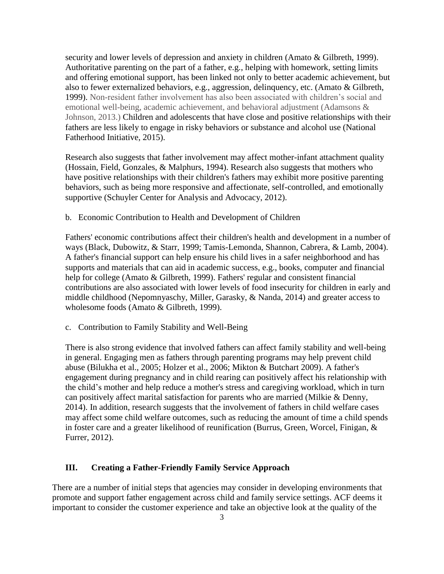security and lower levels of depression and anxiety in children (Amato & Gilbreth, 1999). Authoritative parenting on the part of a father, e.g., helping with homework, setting limits and offering emotional support, has been linked not only to better academic achievement, but also to fewer externalized behaviors, e.g., aggression, delinquency, etc. (Amato & Gilbreth, 1999). Non-resident father involvement has also been associated with children's social and emotional well-being, academic achievement, and behavioral adjustment (Adamsons & Johnson, 2013.) Children and adolescents that have close and positive relationships with their fathers are less likely to engage in risky behaviors or substance and alcohol use (National Fatherhood Initiative, 2015).

Research also suggests that father involvement may affect mother-infant attachment quality (Hossain, Field, Gonzales, & Malphurs, 1994). Research also suggests that mothers who have positive relationships with their children's fathers may exhibit more positive parenting behaviors, such as being more responsive and affectionate, self-controlled, and emotionally supportive (Schuyler Center for Analysis and Advocacy, 2012).

b. Economic Contribution to Health and Development of Children

Fathers' economic contributions affect their children's health and development in a number of ways (Black, Dubowitz, & Starr, 1999; Tamis-Lemonda, Shannon, Cabrera, & Lamb, 2004). A father's financial support can help ensure his child lives in a safer neighborhood and has supports and materials that can aid in academic success, e.g., books, computer and financial help for college (Amato & Gilbreth, 1999). Fathers' regular and consistent financial contributions are also associated with lower levels of food insecurity for children in early and middle childhood (Nepomnyaschy, Miller, Garasky, & Nanda, 2014) and greater access to wholesome foods (Amato & Gilbreth, 1999).

c. Contribution to Family Stability and Well-Being

There is also strong evidence that involved fathers can affect family stability and well-being in general. Engaging men as fathers through parenting programs may help prevent child abuse (Bilukha et al., 2005; Holzer et al., 2006; Mikton & Butchart 2009). A father's engagement during pregnancy and in child rearing can positively affect his relationship with the child's mother and help reduce a mother's stress and caregiving workload, which in turn can positively affect marital satisfaction for parents who are married (Milkie & Denny, 2014). In addition, research suggests that the involvement of fathers in child welfare cases may affect some child welfare outcomes, such as reducing the amount of time a child spends in foster care and a greater likelihood of reunification (Burrus, Green, Worcel, Finigan, & Furrer, 2012).

### **III. Creating a Father-Friendly Family Service Approach**

There are a number of initial steps that agencies may consider in developing environments that promote and support father engagement across child and family service settings. ACF deems it important to consider the customer experience and take an objective look at the quality of the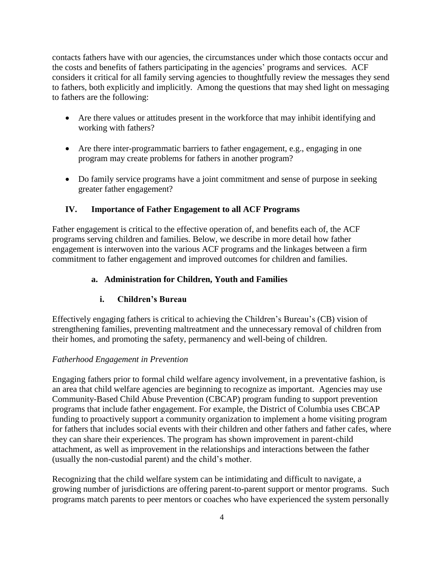contacts fathers have with our agencies, the circumstances under which those contacts occur and the costs and benefits of fathers participating in the agencies' programs and services. ACF considers it critical for all family serving agencies to thoughtfully review the messages they send to fathers, both explicitly and implicitly. Among the questions that may shed light on messaging to fathers are the following:

- Are there values or attitudes present in the workforce that may inhibit identifying and working with fathers?
- Are there inter-programmatic barriers to father engagement, e.g., engaging in one program may create problems for fathers in another program?
- Do family service programs have a joint commitment and sense of purpose in seeking greater father engagement?

# **IV. Importance of Father Engagement to all ACF Programs**

Father engagement is critical to the effective operation of, and benefits each of, the ACF programs serving children and families. Below, we describe in more detail how father engagement is interwoven into the various ACF programs and the linkages between a firm commitment to father engagement and improved outcomes for children and families.

# **a. Administration for Children, Youth and Families**

# **i. Children's Bureau**

Effectively engaging fathers is critical to achieving the Children's Bureau's (CB) vision of strengthening families, preventing maltreatment and the unnecessary removal of children from their homes, and promoting the safety, permanency and well-being of children.

# *Fatherhood Engagement in Prevention*

Engaging fathers prior to formal child welfare agency involvement, in a preventative fashion, is an area that child welfare agencies are beginning to recognize as important. Agencies may use Community-Based Child Abuse Prevention (CBCAP) program funding to support prevention programs that include father engagement. For example, the District of Columbia uses CBCAP funding to proactively support a community organization to implement a home visiting program for fathers that includes social events with their children and other fathers and father cafes, where they can share their experiences. The program has shown improvement in parent-child attachment, as well as improvement in the relationships and interactions between the father (usually the non-custodial parent) and the child's mother.

Recognizing that the child welfare system can be intimidating and difficult to navigate, a growing number of jurisdictions are offering parent-to-parent support or mentor programs. Such programs match parents to peer mentors or coaches who have experienced the system personally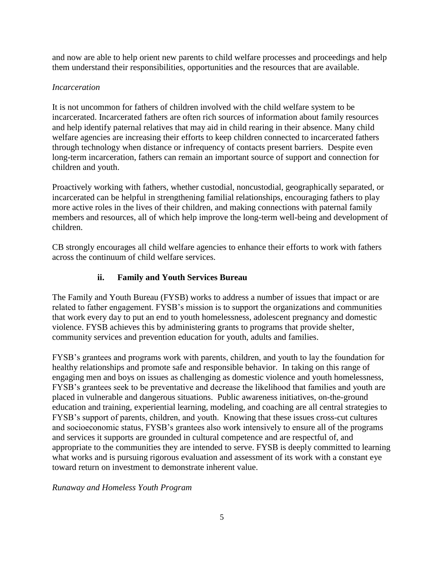and now are able to help orient new parents to child welfare processes and proceedings and help them understand their responsibilities, opportunities and the resources that are available.

## *Incarceration*

It is not uncommon for fathers of children involved with the child welfare system to be incarcerated. Incarcerated fathers are often rich sources of information about family resources and help identify paternal relatives that may aid in child rearing in their absence. Many child welfare agencies are increasing their efforts to keep children connected to incarcerated fathers through technology when distance or infrequency of contacts present barriers. Despite even long-term incarceration, fathers can remain an important source of support and connection for children and youth.

Proactively working with fathers, whether custodial, noncustodial, geographically separated, or incarcerated can be helpful in strengthening familial relationships, encouraging fathers to play more active roles in the lives of their children, and making connections with paternal family members and resources, all of which help improve the long-term well-being and development of children.

CB strongly encourages all child welfare agencies to enhance their efforts to work with fathers across the continuum of child welfare services.

# **ii. Family and Youth Services Bureau**

The Family and Youth Bureau (FYSB) works to address a number of issues that impact or are related to father engagement. FYSB's mission is to support the organizations and communities that work every day to put an end to youth homelessness, adolescent pregnancy and domestic violence. FYSB achieves this by administering grants to programs that provide shelter, community services and prevention education for youth, adults and families.

FYSB's grantees and programs work with parents, children, and youth to lay the foundation for healthy relationships and promote safe and responsible behavior. In taking on this range of engaging men and boys on issues as challenging as domestic violence and youth homelessness, FYSB's grantees seek to be preventative and decrease the likelihood that families and youth are placed in vulnerable and dangerous situations. Public awareness initiatives, on-the-ground education and training, experiential learning, modeling, and coaching are all central strategies to FYSB's support of parents, children, and youth. Knowing that these issues cross-cut cultures and socioeconomic status, FYSB's grantees also work intensively to ensure all of the programs and services it supports are grounded in cultural competence and are respectful of, and appropriate to the communities they are intended to serve. FYSB is deeply committed to learning what works and is pursuing rigorous evaluation and assessment of its work with a constant eye toward return on investment to demonstrate inherent value.

*Runaway and Homeless Youth Program*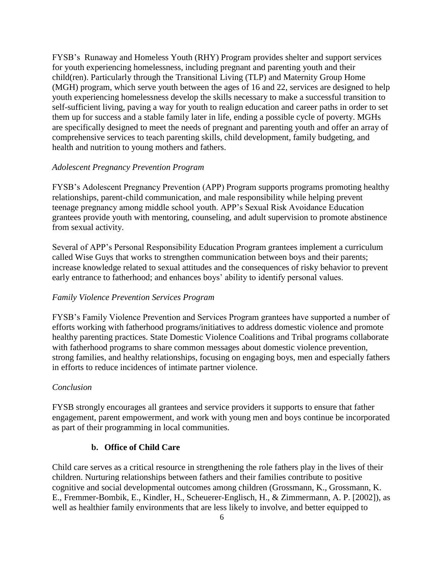FYSB's Runaway and Homeless Youth (RHY) Program provides shelter and support services for youth experiencing homelessness, including pregnant and parenting youth and their child(ren). Particularly through the Transitional Living (TLP) and Maternity Group Home (MGH) program, which serve youth between the ages of 16 and 22, services are designed to help youth experiencing homelessness develop the skills necessary to make a successful transition to self-sufficient living, paving a way for youth to realign education and career paths in order to set them up for success and a stable family later in life, ending a possible cycle of poverty. MGHs are specifically designed to meet the needs of pregnant and parenting youth and offer an array of comprehensive services to teach parenting skills, child development, family budgeting, and health and nutrition to young mothers and fathers.

### *Adolescent Pregnancy Prevention Program*

FYSB's Adolescent Pregnancy Prevention (APP) Program supports programs promoting healthy relationships, parent-child communication, and male responsibility while helping prevent teenage pregnancy among middle school youth. APP's Sexual Risk Avoidance Education grantees provide youth with mentoring, counseling, and adult supervision to promote abstinence from sexual activity.

Several of APP's Personal Responsibility Education Program grantees implement a curriculum called Wise Guys that works to strengthen communication between boys and their parents; increase knowledge related to sexual attitudes and the consequences of risky behavior to prevent early entrance to fatherhood; and enhances boys' ability to identify personal values.

### *Family Violence Prevention Services Program*

FYSB's Family Violence Prevention and Services Program grantees have supported a number of efforts working with fatherhood programs/initiatives to address domestic violence and promote healthy parenting practices. State Domestic Violence Coalitions and Tribal programs collaborate with fatherhood programs to share common messages about domestic violence prevention, strong families, and healthy relationships, focusing on engaging boys, men and especially fathers in efforts to reduce incidences of intimate partner violence.

### *Conclusion*

FYSB strongly encourages all grantees and service providers it supports to ensure that father engagement, parent empowerment, and work with young men and boys continue be incorporated as part of their programming in local communities.

### **b. Office of Child Care**

Child care serves as a critical resource in strengthening the role fathers play in the lives of their children. Nurturing relationships between fathers and their families contribute to positive cognitive and social developmental outcomes among children (Grossmann, K., Grossmann, K. E., Fremmer-Bombik, E., Kindler, H., Scheuerer-Englisch, H., & Zimmermann, A. P. [2002]), as well as healthier family environments that are less likely to involve, and better equipped to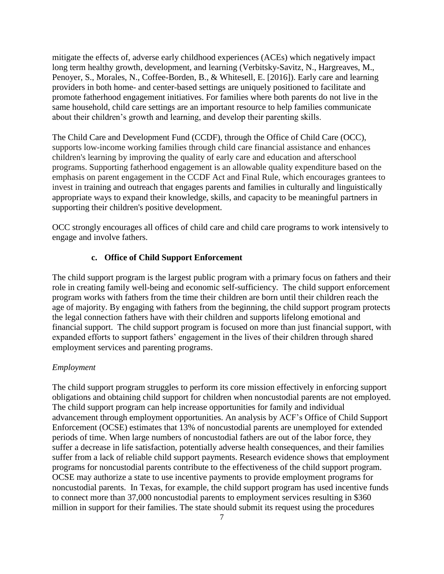mitigate the effects of, adverse early childhood experiences (ACEs) which negatively impact long term healthy growth, development, and learning (Verbitsky-Savitz, N., Hargreaves, M., Penoyer, S., Morales, N., Coffee-Borden, B., & Whitesell, E. [2016]). Early care and learning providers in both home- and center-based settings are uniquely positioned to facilitate and promote fatherhood engagement initiatives. For families where both parents do not live in the same household, child care settings are an important resource to help families communicate about their children's growth and learning, and develop their parenting skills.

The Child Care and Development Fund (CCDF), through the Office of Child Care (OCC), supports low-income working families through child care financial assistance and enhances children's learning by improving the quality of early care and education and afterschool programs. Supporting fatherhood engagement is an allowable quality expenditure based on the emphasis on parent engagement in the CCDF Act and Final Rule, which encourages grantees to invest in training and outreach that engages parents and families in culturally and linguistically appropriate ways to expand their knowledge, skills, and capacity to be meaningful partners in supporting their children's positive development.

OCC strongly encourages all offices of child care and child care programs to work intensively to engage and involve fathers.

## **c. Office of Child Support Enforcement**

The child support program is the largest public program with a primary focus on fathers and their role in creating family well-being and economic self-sufficiency. The child support enforcement program works with fathers from the time their children are born until their children reach the age of majority. By engaging with fathers from the beginning, the child support program protects the legal connection fathers have with their children and supports lifelong emotional and financial support. The child support program is focused on more than just financial support, with expanded efforts to support fathers' engagement in the lives of their children through shared employment services and parenting programs.

## *Employment*

The child support program struggles to perform its core mission effectively in enforcing support obligations and obtaining child support for children when noncustodial parents are not employed. The child support program can help increase opportunities for family and individual advancement through employment opportunities. An analysis by ACF's Office of Child Support Enforcement (OCSE) estimates that 13% of noncustodial parents are unemployed for extended periods of time. When large numbers of noncustodial fathers are out of the labor force, they suffer a decrease in life satisfaction, potentially adverse health consequences, and their families suffer from a lack of reliable child support payments. Research evidence shows that employment programs for noncustodial parents contribute to the effectiveness of the child support program. OCSE may authorize a state to use incentive payments to provide employment programs for noncustodial parents. In Texas, for example, the child support program has used incentive funds to connect more than 37,000 noncustodial parents to employment services resulting in \$360 million in support for their families. The state should submit its request using the procedures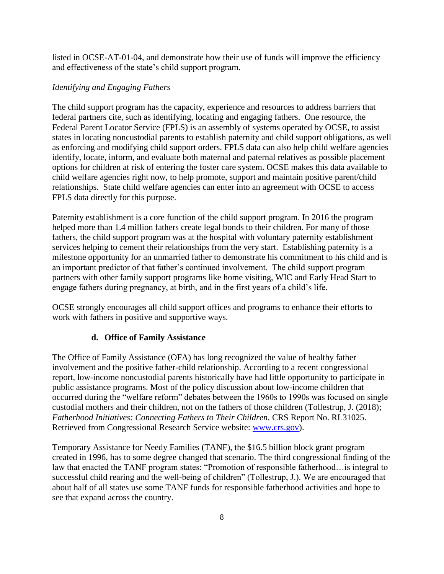listed in OCSE-AT-01-04, and demonstrate how their use of funds will improve the efficiency and effectiveness of the state's child support program.

## *Identifying and Engaging Fathers*

The child support program has the capacity, experience and resources to address barriers that federal partners cite, such as identifying, locating and engaging fathers. One resource, the Federal Parent Locator Service (FPLS) is an assembly of systems operated by OCSE, to assist states in locating noncustodial parents to establish paternity and child support obligations, as well as enforcing and modifying child support orders. FPLS data can also help child welfare agencies identify, locate, inform, and evaluate both maternal and paternal relatives as possible placement options for children at risk of entering the foster care system. OCSE makes this data available to child welfare agencies right now, to help promote, support and maintain positive parent/child relationships. State child welfare agencies can enter into an agreement with OCSE to access FPLS data directly for this purpose.

Paternity establishment is a core function of the child support program. In 2016 the program helped more than 1.4 million fathers create legal bonds to their children. For many of those fathers, the child support program was at the hospital with voluntary paternity establishment services helping to cement their relationships from the very start. Establishing paternity is a milestone opportunity for an unmarried father to demonstrate his commitment to his child and is an important predictor of that father's continued involvement. The child support program partners with other family support programs like home visiting, WIC and Early Head Start to engage fathers during pregnancy, at birth, and in the first years of a child's life.

OCSE strongly encourages all child support offices and programs to enhance their efforts to work with fathers in positive and supportive ways.

# **d. Office of Family Assistance**

The Office of Family Assistance (OFA) has long recognized the value of healthy father involvement and the positive father-child relationship. According to a recent congressional report, low-income noncustodial parents historically have had little opportunity to participate in public assistance programs. Most of the policy discussion about low-income children that occurred during the "welfare reform" debates between the 1960s to 1990s was focused on single custodial mothers and their children, not on the fathers of those children (Tollestrup, J. (2018); *Fatherhood Initiatives: Connecting Fathers to Their Children, CRS Report No. RL31025.* Retrieved from Congressional Research Service website: [www.crs.gov\)](http://www.crs.gov/).

Temporary Assistance for Needy Families (TANF), the \$16.5 billion block grant program created in 1996, has to some degree changed that scenario. The third congressional finding of the law that enacted the TANF program states: "Promotion of responsible fatherhood…is integral to successful child rearing and the well-being of children" (Tollestrup, J.). We are encouraged that about half of all states use some TANF funds for responsible fatherhood activities and hope to see that expand across the country.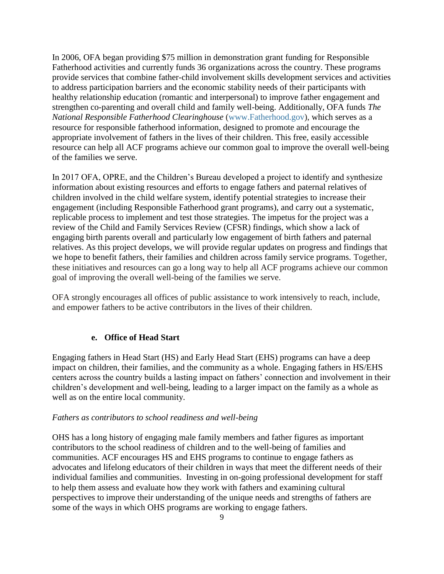In 2006, OFA began providing \$75 million in demonstration grant funding for Responsible Fatherhood activities and currently funds 36 organizations across the country. These programs provide services that combine father-child involvement skills development services and activities to address participation barriers and the economic stability needs of their participants with healthy relationship education (romantic and interpersonal) to improve father engagement and strengthen co-parenting and overall child and family well-being. Additionally, OFA funds *The National Responsible Fatherhood Clearinghouse* [\(www.Fatherhood.gov\)](http://www.fatherhood.gov/), which serves as a resource for responsible fatherhood information, designed to promote and encourage the appropriate involvement of fathers in the lives of their children. This free, easily accessible resource can help all ACF programs achieve our common goal to improve the overall well-being of the families we serve.

In 2017 OFA, OPRE, and the Children's Bureau developed a project to identify and synthesize information about existing resources and efforts to engage fathers and paternal relatives of children involved in the child welfare system, identify potential strategies to increase their engagement (including Responsible Fatherhood grant programs), and carry out a systematic, replicable process to implement and test those strategies. The impetus for the project was a review of the Child and Family Services Review (CFSR) findings, which show a lack of engaging birth parents overall and particularly low engagement of birth fathers and paternal relatives. As this project develops, we will provide regular updates on progress and findings that we hope to benefit fathers, their families and children across family service programs. Together, these initiatives and resources can go a long way to help all ACF programs achieve our common goal of improving the overall well-being of the families we serve.

OFA strongly encourages all offices of public assistance to work intensively to reach, include, and empower fathers to be active contributors in the lives of their children.

### **e. Office of Head Start**

Engaging fathers in Head Start (HS) and Early Head Start (EHS) programs can have a deep impact on children, their families, and the community as a whole. Engaging fathers in HS/EHS centers across the country builds a lasting impact on fathers' connection and involvement in their children's development and well-being, leading to a larger impact on the family as a whole as well as on the entire local community.

#### *Fathers as contributors to school readiness and well-being*

OHS has a long history of engaging male family members and father figures as important contributors to the school readiness of children and to the well-being of families and communities. ACF encourages HS and EHS programs to continue to engage fathers as advocates and lifelong educators of their children in ways that meet the different needs of their individual families and communities. Investing in on-going professional development for staff to help them assess and evaluate how they work with fathers and examining cultural perspectives to improve their understanding of the unique needs and strengths of fathers are some of the ways in which OHS programs are working to engage fathers.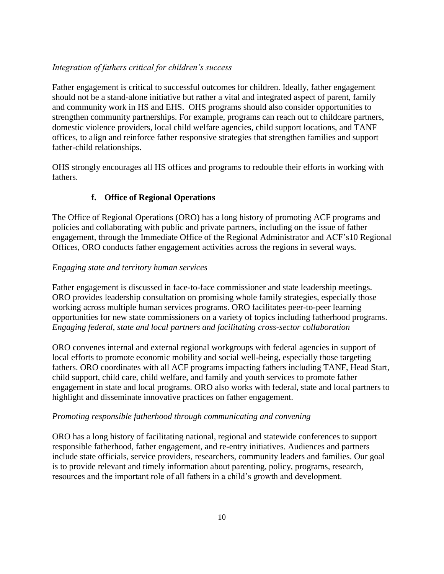## *Integration of fathers critical for children's success*

Father engagement is critical to successful outcomes for children. Ideally, father engagement should not be a stand-alone initiative but rather a vital and integrated aspect of parent, family and community work in HS and EHS. OHS programs should also consider opportunities to strengthen community partnerships. For example, programs can reach out to childcare partners, domestic violence providers, local child welfare agencies, child support locations, and TANF offices, to align and reinforce father responsive strategies that strengthen families and support father-child relationships.

OHS strongly encourages all HS offices and programs to redouble their efforts in working with fathers.

# **f. Office of Regional Operations**

The Office of Regional Operations (ORO) has a long history of promoting ACF programs and policies and collaborating with public and private partners, including on the issue of father engagement, through the Immediate Office of the Regional Administrator and ACF's10 Regional Offices, ORO conducts father engagement activities across the regions in several ways.

## *Engaging state and territory human services*

Father engagement is discussed in face-to-face commissioner and state leadership meetings. ORO provides leadership consultation on promising whole family strategies, especially those working across multiple human services programs. ORO facilitates peer-to-peer learning opportunities for new state commissioners on a variety of topics including fatherhood programs. *Engaging federal, state and local partners and facilitating cross-sector collaboration*

ORO convenes internal and external regional workgroups with federal agencies in support of local efforts to promote economic mobility and social well-being, especially those targeting fathers. ORO coordinates with all ACF programs impacting fathers including TANF, Head Start, child support, child care, child welfare, and family and youth services to promote father engagement in state and local programs. ORO also works with federal, state and local partners to highlight and disseminate innovative practices on father engagement.

## *Promoting responsible fatherhood through communicating and convening*

ORO has a long history of facilitating national, regional and statewide conferences to support responsible fatherhood, father engagement, and re-entry initiatives. Audiences and partners include state officials, service providers, researchers, community leaders and families. Our goal is to provide relevant and timely information about parenting, policy, programs, research, resources and the important role of all fathers in a child's growth and development.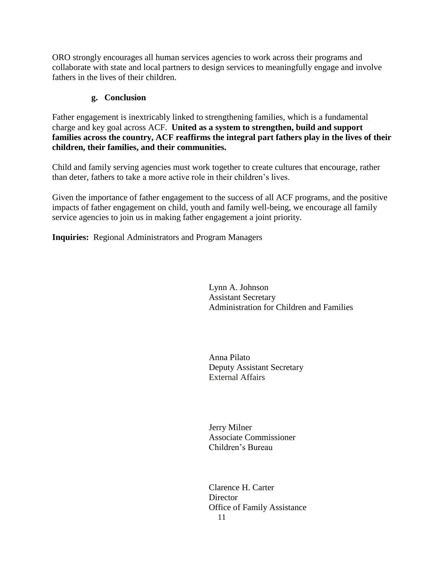ORO strongly encourages all human services agencies to work across their programs and collaborate with state and local partners to design services to meaningfully engage and involve fathers in the lives of their children.

# **g. Conclusion**

Father engagement is inextricably linked to strengthening families, which is a fundamental charge and key goal across ACF. **United as a system to strengthen, build and support families across the country, ACF reaffirms the integral part fathers play in the lives of their children, their families, and their communities.** 

Child and family serving agencies must work together to create cultures that encourage, rather than deter, fathers to take a more active role in their children's lives.

Given the importance of father engagement to the success of all ACF programs, and the positive impacts of father engagement on child, youth and family well-being, we encourage all family service agencies to join us in making father engagement a joint priority.

**Inquiries:** Regional Administrators and Program Managers

Lynn A. Johnson Assistant Secretary Administration for Children and Families

Anna Pilato Deputy Assistant Secretary External Affairs

Jerry Milner Associate Commissioner Children's Bureau

11 Clarence H. Carter **Director** Office of Family Assistance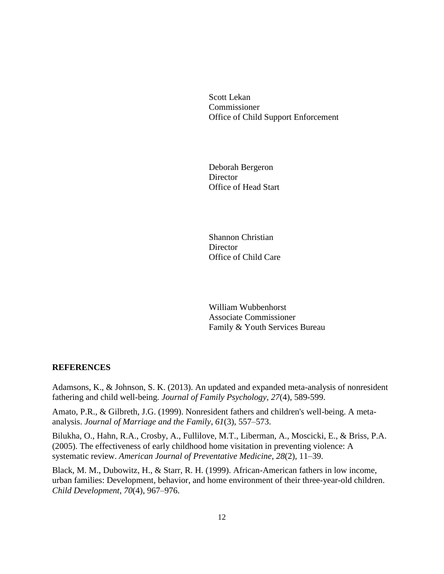Scott Lekan Commissioner Office of Child Support Enforcement

Deborah Bergeron **Director** Office of Head Start

Shannon Christian **Director** Office of Child Care

William Wubbenhorst Associate Commissioner Family & Youth Services Bureau

### **REFERENCES**

Adamsons, K., & Johnson, S. K. (2013). An updated and expanded meta-analysis of nonresident fathering and child well-being. *Journal of Family Psychology, 27*(4), 589-599.

Amato, P.R., & Gilbreth, J.G. (1999). Nonresident fathers and children's well-being. A metaanalysis. *Journal of Marriage and the Family*, *61*(3), 557–573.

Bilukha, O., Hahn, R.A., Crosby, A., Fullilove, M.T., Liberman, A., Moscicki, E., & Briss, P.A. (2005). The effectiveness of early childhood home visitation in preventing violence: A systematic review. *American Journal of Preventative Medicine*, *28*(2), 11–39.

Black, M. M., Dubowitz, H., & Starr, R. H. (1999). African-American fathers in low income, urban families: Development, behavior, and home environment of their three-year-old children. *Child Development*, *70*(4), 967–976.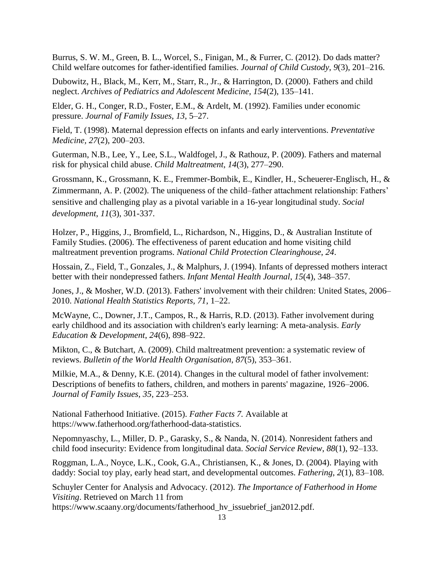Burrus, S. W. M., Green, B. L., Worcel, S., Finigan, M., & Furrer, C. (2012). Do dads matter? Child welfare outcomes for father-identified families. *Journal of Child Custody*, *9*(3), 201–216.

Dubowitz, H., Black, M., Kerr, M., Starr, R., Jr., & Harrington, D. (2000). Fathers and child neglect. *Archives of Pediatrics and Adolescent Medicine, 154*(2), 135–141.

Elder, G. H., Conger, R.D., Foster, E.M., & Ardelt, M. (1992). Families under economic pressure. *Journal of Family Issues*, *13*, 5–27.

Field, T. (1998). Maternal depression effects on infants and early interventions. *Preventative Medicine, 27*(2), 200–203.

Guterman, N.B., Lee, Y., Lee, S.L., Waldfogel, J., & Rathouz, P. (2009). Fathers and maternal risk for physical child abuse. *Child Maltreatment*, *14*(3), 277–290.

Grossmann, K., Grossmann, K. E., Fremmer-Bombik, E., Kindler, H., Scheuerer-Englisch, H., & Zimmermann, A. P. (2002). The uniqueness of the child–father attachment relationship: Fathers' sensitive and challenging play as a pivotal variable in a 16-year longitudinal study. *Social development*, *11*(3), 301-337.

Holzer, P., Higgins, J., Bromfield, L., Richardson, N., Higgins, D., & Australian Institute of Family Studies. (2006). The effectiveness of parent education and home visiting child maltreatment prevention programs. *National Child Protection Clearinghouse*, *24*.

Hossain, Z., Field, T., Gonzales, J., & Malphurs, J. (1994). Infants of depressed mothers interact better with their nondepressed fathers. *Infant Mental Health Journal*, *15*(4), 348–357.

Jones, J., & Mosher, W.D. (2013). Fathers' involvement with their children: United States, 2006– 2010. *National Health Statistics Reports, 71*, 1–22.

McWayne, C., Downer, J.T., Campos, R., & Harris, R.D. (2013). Father involvement during early childhood and its association with children's early learning: A meta-analysis. *Early Education & Development*, *24*(6), 898–922.

Mikton, C., & Butchart, A. (2009). Child maltreatment prevention: a systematic review of reviews. *Bulletin of the World Health Organisation*, *87*(5), 353–361.

Milkie, M.A., & Denny, K.E. (2014). Changes in the cultural model of father involvement: Descriptions of benefits to fathers, children, and mothers in parents' magazine, 1926–2006. *Journal of Family Issues*, *35*, 223–253.

National Fatherhood Initiative. (2015). *Father Facts 7.* Available at https://www.fatherhood.org/fatherhood-data-statistics.

Nepomnyaschy, L., Miller, D. P., Garasky, S., & Nanda, N. (2014). Nonresident fathers and child food insecurity: Evidence from longitudinal data. *Social Service Review*, *88*(1), 92–133.

Roggman, L.A., Noyce, L.K., Cook, G.A., Christiansen, K., & Jones, D. (2004). Playing with daddy: Social toy play, early head start, and developmental outcomes. *Fathering*, *2*(1), 83–108.

Schuyler Center for Analysis and Advocacy. (2012). *The Importance of Fatherhood in Home Visiting*. Retrieved on March 11 from

https://www.scaany.org/documents/fatherhood hv issuebrief jan2012.pdf.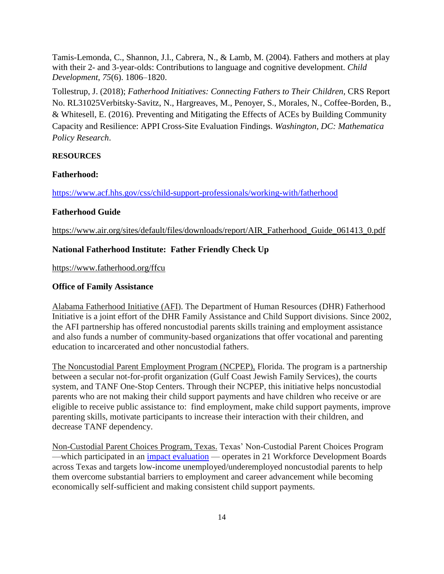Tamis-Lemonda, C., Shannon, J.l., Cabrera, N., & Lamb, M. (2004). Fathers and mothers at play with their 2- and 3-year-olds: Contributions to language and cognitive development. *Child Development*, *75*(6). 1806–1820.

Tollestrup, J. (2018); *Fatherhood Initiatives: Connecting Fathers to Their Children,* CRS Report No. RL31025Verbitsky-Savitz, N., Hargreaves, M., Penoyer, S., Morales, N., Coffee-Borden, B., & Whitesell, E. (2016). Preventing and Mitigating the Effects of ACEs by Building Community Capacity and Resilience: APPI Cross-Site Evaluation Findings. *Washington, DC: Mathematica Policy Research*.

### **RESOURCES**

#### **Fatherhood:**

<https://www.acf.hhs.gov/css/child-support-professionals/working-with/fatherhood>

### **Fatherhood Guide**

[https://www.air.org/sites/default/files/downloads/report/AIR\\_Fatherhood\\_Guide\\_061413\\_0.pdf](https://www.air.org/sites/default/files/downloads/report/AIR_Fatherhood_Guide_061413_0.pdf)

### **National Fatherhood Institute: Father Friendly Check Up**

https://www.fatherhood.org/ffcu

### **Office of Family Assistance**

Alabama Fatherhood Initiative (AFI). The Department of Human Resources (DHR) Fatherhood Initiative is a joint effort of the DHR Family Assistance and Child Support divisions. Since 2002, the AFI partnership has offered noncustodial parents skills training and employment assistance and also funds a number of community-based organizations that offer vocational and parenting education to incarcerated and other noncustodial fathers.

The Noncustodial Parent Employment Program (NCPEP), Florida. The program is a partnership between a secular not-for-profit organization (Gulf Coast Jewish Family Services), the courts system, and TANF One-Stop Centers. Through their NCPEP, this initiative helps noncustodial parents who are not making their child support payments and have children who receive or are eligible to receive public assistance to: find employment, make child support payments, improve parenting skills, motivate participants to increase their interaction with their children, and decrease TANF dependency.

Non-Custodial Parent Choices Program, Texas. Texas' Non-Custodial Parent Choices Program —which participated in an [impact evaluation](https://raymarshallcenter.org/files/2008/08/NCP_Choices_Sep2008final.pdf) — operates in 21 Workforce Development Boards across Texas and targets low-income unemployed/underemployed noncustodial parents to help them overcome substantial barriers to employment and career advancement while becoming economically self-sufficient and making consistent child support payments.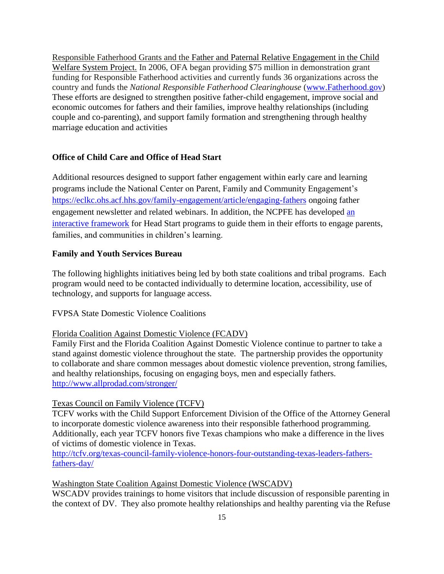Responsible Fatherhood Grants and the Father and Paternal Relative Engagement in the Child Welfare System Project. In 2006, OFA began providing \$75 million in demonstration grant funding for Responsible Fatherhood activities and currently funds 36 organizations across the country and funds the *National Responsible Fatherhood Clearinghouse* [\(www.Fatherhood.gov\)](http://www.fatherhood.gov/) These efforts are designed to strengthen positive father-child engagement, improve social and economic outcomes for fathers and their families, improve healthy relationships (including couple and co-parenting), and support family formation and strengthening through healthy marriage education and activities

### **Office of Child Care and Office of Head Start**

Additional resources designed to support father engagement within early care and learning programs include the [National Center on Parent, Family and Community Engagement's](https://eclkc.ohs.acf.hhs.gov/ncpfce) <https://eclkc.ohs.acf.hhs.gov/family-engagement/article/engaging-fathers> ongoing father engagement newsletter and related webinars. In addition, the NCPFE has developed [an](https://eclkc.ohs.acf.hhs.gov/school-readiness/article/pfce-interactive-framework)  [interactive framework](https://eclkc.ohs.acf.hhs.gov/school-readiness/article/pfce-interactive-framework) for Head Start programs to guide them in their efforts to engage parents, families, and communities in children's learning.

### **Family and Youth Services Bureau**

The following highlights initiatives being led by both state coalitions and tribal programs. Each program would need to be contacted individually to determine location, accessibility, use of technology, and supports for language access.

FVPSA State Domestic Violence Coalitions

### Florida Coalition Against Domestic Violence (FCADV)

Family First and the Florida Coalition Against Domestic Violence continue to partner to take a stand against domestic violence throughout the state. The partnership provides the opportunity to collaborate and share common messages about domestic violence prevention, strong families, and healthy relationships, focusing on engaging boys, men and especially fathers. <http://www.allprodad.com/stronger/>

### Texas Council on Family Violence (TCFV)

TCFV works with the Child Support Enforcement Division of the Office of the Attorney General to incorporate domestic violence awareness into their responsible fatherhood programming. Additionally, each year TCFV honors five Texas champions who make a difference in the lives of victims of domestic violence in Texas.

[http://tcfv.org/texas-council-family-violence-honors-four-outstanding-texas-leaders-fathers](http://tcfv.org/texas-council-family-violence-honors-four-outstanding-texas-leaders-fathers-fathers-day/)[fathers-day/](http://tcfv.org/texas-council-family-violence-honors-four-outstanding-texas-leaders-fathers-fathers-day/)

### Washington State Coalition Against Domestic Violence (WSCADV)

WSCADV provides trainings to home visitors that include discussion of responsible parenting in the context of DV. They also promote healthy relationships and healthy parenting via the Refuse